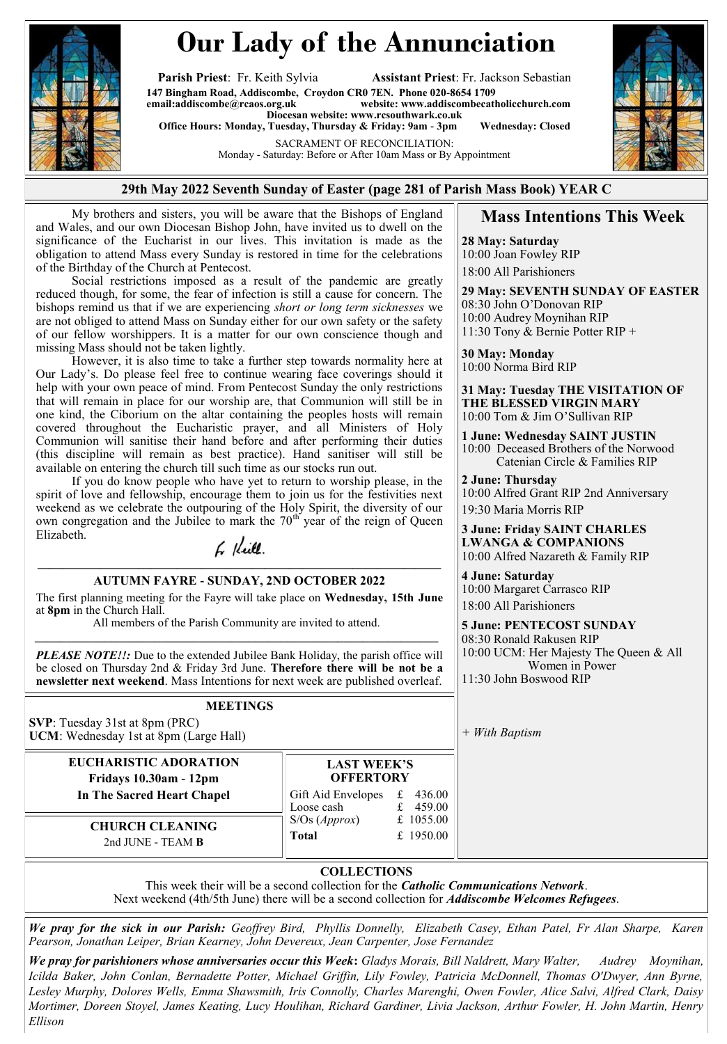

# **Our Lady of the Annunciation**

**Parish Priest**: Fr. Keith Sylvia **Assistant Priest**: Fr. Jackson Sebastian **147 Bingham Road, Addiscombe, Croydon CR0 7EN. Phone 020-8654 1709**  $website: [www.addiscombecatholicchurch.com](http://www.addiscombecatholicchurch.com)$  $website: [www.addiscombecatholicchurch.com](http://www.addiscombecatholicchurch.com)$  $website: [www.addiscombecatholicchurch.com](http://www.addiscombecatholicchurch.com)$ **Diocesan website: [www.rcsouthwark.co.uk](http://www.rcsouthwark.co.uk/)** 

**Office Hours: Monday, Tuesday, Thursday & Friday: 9am - 3pm Wednesday: Closed**

SACRAMENT OF RECONCILIATION:

Monday - Saturday: Before or After 10am Mass or By Appointment



#### **29th May 2022 Seventh Sunday of Easter (page 281 of Parish Mass Book) YEAR C**

My brothers and sisters, you will be aware that the Bishops of England and Wales, and our own Diocesan Bishop John, have invited us to dwell on the significance of the Eucharist in our lives. This invitation is made as the obligation to attend Mass every Sunday is restored in time for the celebrations of the Birthday of the Church at Pentecost.

Social restrictions imposed as a result of the pandemic are greatly reduced though, for some, the fear of infection is still a cause for concern. The bishops remind us that if we are experiencing *short or long term sicknesses* we are not obliged to attend Mass on Sunday either for our own safety or the safety of our fellow worshippers. It is a matter for our own conscience though and missing Mass should not be taken lightly.

However, it is also time to take a further step towards normality here at Our Lady's. Do please feel free to continue wearing face coverings should it help with your own peace of mind. From Pentecost Sunday the only restrictions that will remain in place for our worship are, that Communion will still be in one kind, the Ciborium on the altar containing the peoples hosts will remain covered throughout the Eucharistic prayer, and all Ministers of Holy Communion will sanitise their hand before and after performing their duties (this discipline will remain as best practice). Hand sanitiser will still be available on entering the church till such time as our stocks run out.

If you do know people who have yet to return to worship please, in the spirit of love and fellowship, encourage them to join us for the festivities next weekend as we celebrate the outpouring of the Holy Spirit, the diversity of our own congregation and the Jubilee to mark the  $70<sup>th</sup>$  year of the reign of Queen Elizabeth.

## 6 Keill.

#### **———————————————————————————————— AUTUMN FAYRE - SUNDAY, 2ND OCTOBER 2022**

The first planning meeting for the Fayre will take place on **Wednesday, 15th June**  at **8pm** in the Church Hall.

All members of the Parish Community are invited to attend. *\_\_\_\_\_\_\_\_\_\_\_\_\_\_\_\_\_\_\_\_\_\_\_\_\_\_\_\_\_\_\_\_\_\_\_\_\_\_\_\_\_\_\_\_\_\_\_\_\_\_\_\_\_\_\_\_\_\_\_\_\_\_\_\_*

*PLEASE NOTE!!:* Due to the extended Jubilee Bank Holiday, the parish office will be closed on Thursday 2nd & Friday 3rd June. **Therefore there will be not be a newsletter next weekend**. Mass Intentions for next week are published overleaf.

#### **MEETINGS**

**SVP**: Tuesday 31st at 8pm (PRC) **UCM**: Wednesday 1st at 8pm (Large Hall)

> **EUCHARISTIC ADORATION Fridays 10.30am - 12pm**

**In The Sacred Heart Chapel** 

**LAST WEEK'S OFFERTORY** Gift Aid Envelopes £ 436.00 Loose cash f 459.00 S/Os (*Approx*) £ 1055.00 **Total** £ 1950.00

**CHURCH CLEANING**  2nd JUNE - TEAM **B**

## **Mass Intentions This Week**

**28 May: Saturday**  10:00 Joan Fowley RIP 18:00 All Parishioners

**29 May: SEVENTH SUNDAY OF EASTER** 08:30 John O'Donovan RIP 10:00 Audrey Moynihan RIP 11:30 Tony & Bernie Potter RIP +

**30 May: Monday**  10:00 Norma Bird RIP

**31 May: Tuesday THE VISITATION OF THE BLESSED VIRGIN MARY** 10:00 Tom & Jim O'Sullivan RIP

**1 June: Wednesday SAINT JUSTIN** 10:00 Deceased Brothers of the Norwood Catenian Circle & Families RIP

**2 June: Thursday**  10:00 Alfred Grant RIP 2nd Anniversary 19:30 Maria Morris RIP

**3 June: Friday SAINT CHARLES LWANGA & COMPANIONS** 10:00 Alfred Nazareth & Family RIP

**4 June: Saturday**  10:00 Margaret Carrasco RIP 18:00 All Parishioners

**5 June: PENTECOST SUNDAY** 08:30 Ronald Rakusen RIP 10:00 UCM: Her Majesty The Queen & All Women in Power 11:30 John Boswood RIP

*+ With Baptism*

#### **COLLECTIONS**

This week their will be a second collection for the *Catholic Communications Network*. Next weekend (4th/5th June) there will be a second collection for *Addiscombe Welcomes Refugees*.

*We pray for the sick in our Parish: Geoffrey Bird, Phyllis Donnelly, Elizabeth Casey, Ethan Patel, Fr Alan Sharpe, Karen Pearson, Jonathan Leiper, Brian Kearney, John Devereux, Jean Carpenter, Jose Fernandez*

*We pray for parishioners whose anniversaries occur this Week***:** *Gladys Morais, Bill Naldrett, Mary Walter, Audrey Moynihan, Icilda Baker, John Conlan, Bernadette Potter, Michael Griffin, Lily Fowley, Patricia McDonnell, Thomas O'Dwyer, Ann Byrne, Lesley Murphy, Dolores Wells, Emma Shawsmith, Iris Connolly, Charles Marenghi, Owen Fowler, Alice Salvi, Alfred Clark, Daisy Mortimer, Doreen Stoyel, James Keating, Lucy Houlihan, Richard Gardiner, Livia Jackson, Arthur Fowler, H. John Martin, Henry Ellison*